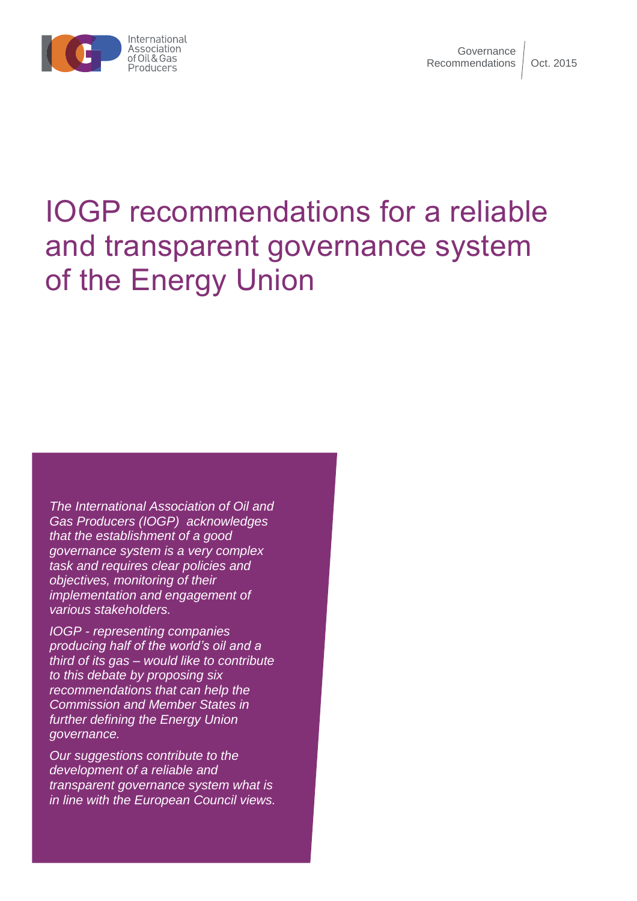

# IOGP recommendations for a reliable and transparent governance system of the Energy Union

*The International Association of Oil and Gas Producers (IOGP) acknowledges that the establishment of a good governance system is a very complex task and requires clear policies and objectives, monitoring of their implementation and engagement of various stakeholders.* 

*IOGP - representing companies producing half of the world's oil and a third of its gas – would like to contribute to this debate by proposing six recommendations that can help the Commission and Member States in further defining the Energy Union governance.* 

*Our suggestions contribute to the development of a reliable and transparent governance system what is in line with the European Council views.*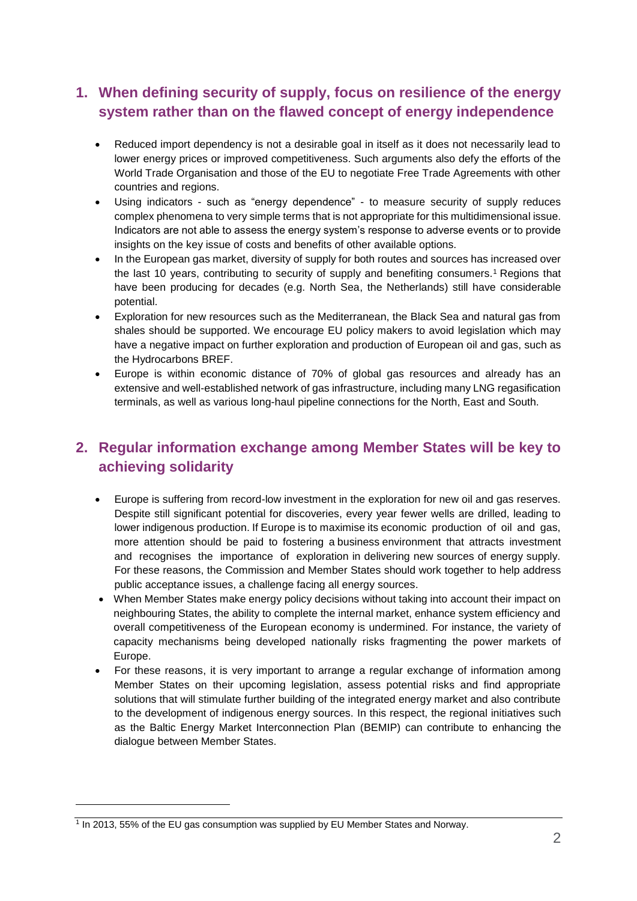# **1. When defining security of supply, focus on resilience of the energy system rather than on the flawed concept of energy independence**

- Reduced import dependency is not a desirable goal in itself as it does not necessarily lead to lower energy prices or improved competitiveness. Such arguments also defy the efforts of the World Trade Organisation and those of the EU to negotiate Free Trade Agreements with other countries and regions.
- Using indicators such as "energy dependence" to measure security of supply reduces complex phenomena to very simple terms that is not appropriate for this multidimensional issue. Indicators are not able to assess the energy system's response to adverse events or to provide insights on the key issue of costs and benefits of other available options.
- In the European gas market, diversity of supply for both routes and sources has increased over the last 10 years, contributing to security of supply and benefiting consumers.<sup>1</sup> Regions that have been producing for decades (e.g. North Sea, the Netherlands) still have considerable potential.
- Exploration for new resources such as the Mediterranean, the Black Sea and natural gas from shales should be supported. We encourage EU policy makers to avoid legislation which may have a negative impact on further exploration and production of European oil and gas, such as the Hydrocarbons BREF.
- Europe is within economic distance of 70% of global gas resources and already has an extensive and well-established network of gas infrastructure, including many LNG regasification terminals, as well as various long-haul pipeline connections for the North, East and South.

## **2. Regular information exchange among Member States will be key to achieving solidarity**

- Europe is suffering from record-low investment in the exploration for new oil and gas reserves. Despite still significant potential for discoveries, every year fewer wells are drilled, leading to lower indigenous production. If Europe is to maximise its economic production of oil and gas, more attention should be paid to fostering a business environment that attracts investment and recognises the importance of exploration in delivering new sources of energy supply. For these reasons, the Commission and Member States should work together to help address public acceptance issues, a challenge facing all energy sources.
- When Member States make energy policy decisions without taking into account their impact on neighbouring States, the ability to complete the internal market, enhance system efficiency and overall competitiveness of the European economy is undermined. For instance, the variety of capacity mechanisms being developed nationally risks fragmenting the power markets of Europe.
- For these reasons, it is very important to arrange a regular exchange of information among Member States on their upcoming legislation, assess potential risks and find appropriate solutions that will stimulate further building of the integrated energy market and also contribute to the development of indigenous energy sources. In this respect, the regional initiatives such as the Baltic Energy Market Interconnection Plan (BEMIP) can contribute to enhancing the dialogue between Member States.

 $\overline{a}$ 

<sup>1</sup> In 2013, 55% of the EU gas consumption was supplied by EU Member States and Norway.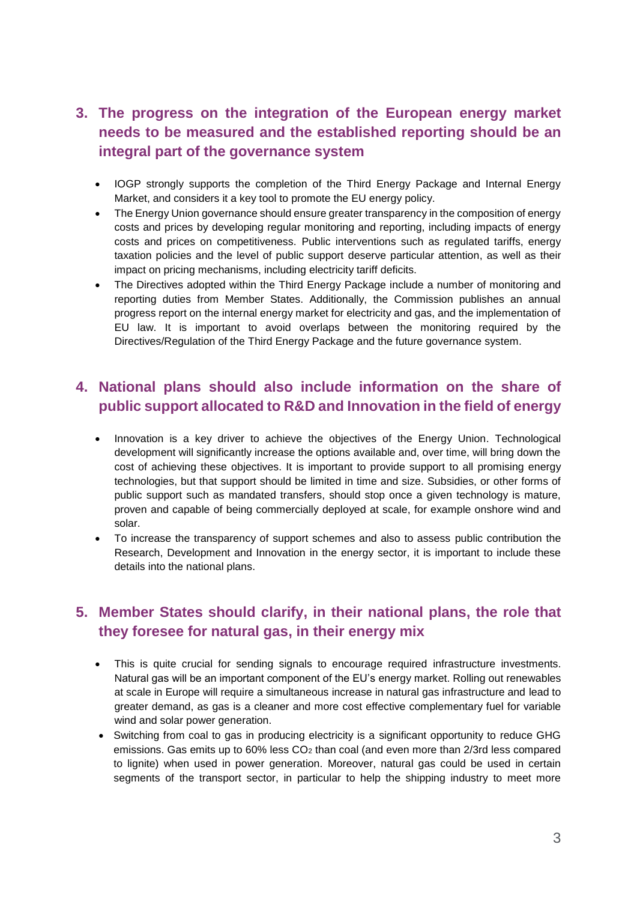## **3. The progress on the integration of the European energy market needs to be measured and the established reporting should be an integral part of the governance system**

- IOGP strongly supports the completion of the Third Energy Package and Internal Energy Market, and considers it a key tool to promote the EU energy policy.
- The Energy Union governance should ensure greater transparency in the composition of energy costs and prices by developing regular monitoring and reporting, including impacts of energy costs and prices on competitiveness. Public interventions such as regulated tariffs, energy taxation policies and the level of public support deserve particular attention, as well as their impact on pricing mechanisms, including electricity tariff deficits.
- The Directives adopted within the Third Energy Package include a number of monitoring and reporting duties from Member States. Additionally, the Commission publishes an annual progress report on the internal energy market for electricity and gas, and the implementation of EU law. It is important to avoid overlaps between the monitoring required by the Directives/Regulation of the Third Energy Package and the future governance system.

#### **4. National plans should also include information on the share of public support allocated to R&D and Innovation in the field of energy**

- Innovation is a key driver to achieve the objectives of the Energy Union. Technological development will significantly increase the options available and, over time, will bring down the cost of achieving these objectives. It is important to provide support to all promising energy technologies, but that support should be limited in time and size. Subsidies, or other forms of public support such as mandated transfers, should stop once a given technology is mature, proven and capable of being commercially deployed at scale, for example onshore wind and solar.
- To increase the transparency of support schemes and also to assess public contribution the Research, Development and Innovation in the energy sector, it is important to include these details into the national plans.

## **5. Member States should clarify, in their national plans, the role that they foresee for natural gas, in their energy mix**

- This is quite crucial for sending signals to encourage required infrastructure investments. Natural gas will be an important component of the EU's energy market. Rolling out renewables at scale in Europe will require a simultaneous increase in natural gas infrastructure and lead to greater demand, as gas is a cleaner and more cost effective complementary fuel for variable wind and solar power generation.
- Switching from coal to gas in producing electricity is a significant opportunity to reduce GHG emissions. Gas emits up to 60% less CO<sub>2</sub> than coal (and even more than 2/3rd less compared to lignite) when used in power generation. Moreover, natural gas could be used in certain segments of the transport sector, in particular to help the shipping industry to meet more